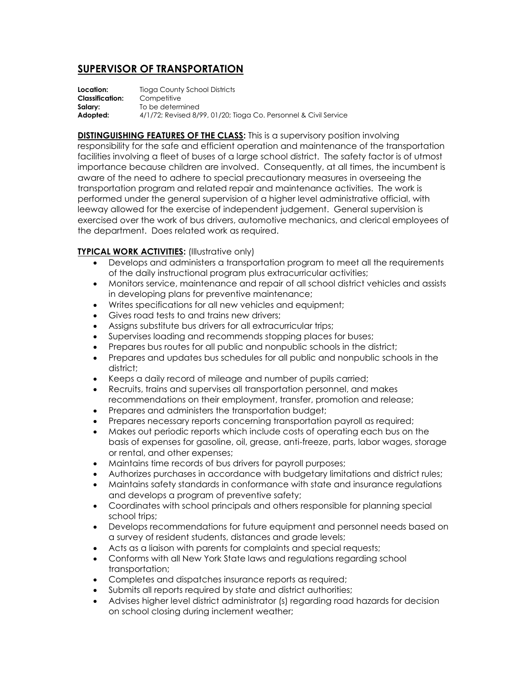## **SUPERVISOR OF TRANSPORTATION**

**Location:** Tioga County School Districts **Classification:** Competitive **Salary:** To be determined **Adopted:** 4/1/72; Revised 8/99, 01/20; Tioga Co. Personnel & Civil Service

**DISTINGUISHING FEATURES OF THE CLASS:** This is a supervisory position involving responsibility for the safe and efficient operation and maintenance of the transportation facilities involving a fleet of buses of a large school district. The safety factor is of utmost importance because children are involved. Consequently, at all times, the incumbent is aware of the need to adhere to special precautionary measures in overseeing the transportation program and related repair and maintenance activities. The work is performed under the general supervision of a higher level administrative official, with leeway allowed for the exercise of independent judgement. General supervision is exercised over the work of bus drivers, automotive mechanics, and clerical employees of the department. Does related work as required.

## **TYPICAL WORK ACTIVITIES:** (Illustrative only)

- Develops and administers a transportation program to meet all the requirements of the daily instructional program plus extracurricular activities;
- Monitors service, maintenance and repair of all school district vehicles and assists in developing plans for preventive maintenance;
- Writes specifications for all new vehicles and equipment;
- Gives road tests to and trains new drivers;
- Assigns substitute bus drivers for all extracurricular trips;
- Supervises loading and recommends stopping places for buses;
- Prepares bus routes for all public and nonpublic schools in the district;
- Prepares and updates bus schedules for all public and nonpublic schools in the district;
- Keeps a daily record of mileage and number of pupils carried;
- Recruits, trains and supervises all transportation personnel, and makes recommendations on their employment, transfer, promotion and release;
- Prepares and administers the transportation budget;
- Prepares necessary reports concerning transportation payroll as required;
- Makes out periodic reports which include costs of operating each bus on the basis of expenses for gasoline, oil, grease, anti-freeze, parts, labor wages, storage or rental, and other expenses;
- Maintains time records of bus drivers for payroll purposes;
- Authorizes purchases in accordance with budgetary limitations and district rules;
- Maintains safety standards in conformance with state and insurance regulations and develops a program of preventive safety;
- Coordinates with school principals and others responsible for planning special school trips;
- Develops recommendations for future equipment and personnel needs based on a survey of resident students, distances and grade levels;
- Acts as a liaison with parents for complaints and special requests;
- Conforms with all New York State laws and regulations regarding school transportation;
- Completes and dispatches insurance reports as required;
- Submits all reports required by state and district authorities;
- Advises higher level district administrator (s) regarding road hazards for decision on school closing during inclement weather;